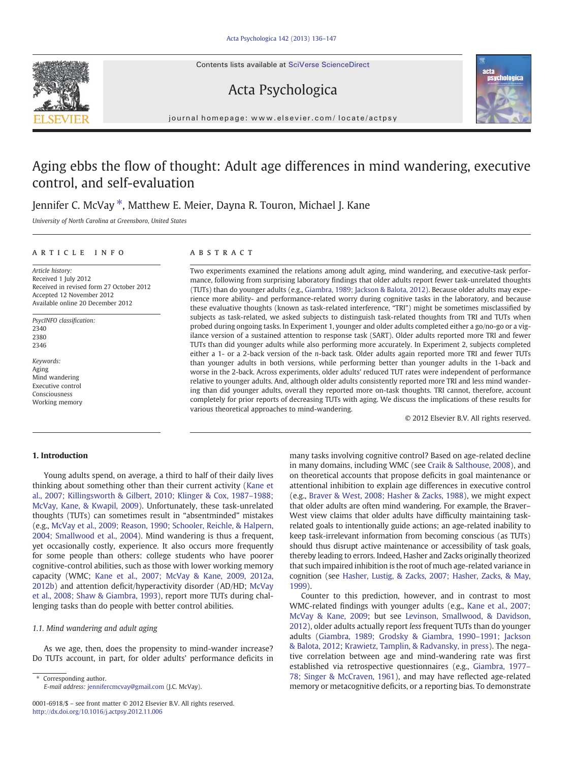Contents lists available at SciVerse ScienceDirect

## Acta Psychologica



journal homepage: www.elsevier.com/ locate/actpsy

## Aging ebbs the flow of thought: Adult age differences in mind wandering, executive control, and self-evaluation

## Jennifer C. McVay<sup>\*</sup>, Matthew E. Meier, Dayna R. Touron, Michael J. Kane

University of North Carolina at Greensboro, United States

### ARTICLE INFO ABSTRACT

Article history: Received 1 July 2012 Received in revised form 27 October 2012 Accepted 12 November 2012 Available online 20 December 2012

PsycINFO classification: 2340 2380 2346

Keywords: Aging Mind wandering Executive control Consciousness Working memory

Two experiments examined the relations among adult aging, mind wandering, and executive-task performance, following from surprising laboratory findings that older adults report fewer task-unrelated thoughts (TUTs) than do younger adults (e.g., [Giambra, 1989; Jackson & Balota, 2012](#page--1-0)). Because older adults may experience more ability- and performance-related worry during cognitive tasks in the laboratory, and because these evaluative thoughts (known as task-related interference, "TRI") might be sometimes misclassified by subjects as task-related, we asked subjects to distinguish task-related thoughts from TRI and TUTs when probed during ongoing tasks. In Experiment 1, younger and older adults completed either a go/no-go or a vigilance version of a sustained attention to response task (SART). Older adults reported more TRI and fewer TUTs than did younger adults while also performing more accurately. In Experiment 2, subjects completed either a 1- or a 2-back version of the n-back task. Older adults again reported more TRI and fewer TUTs than younger adults in both versions, while performing better than younger adults in the 1-back and worse in the 2-back. Across experiments, older adults' reduced TUT rates were independent of performance relative to younger adults. And, although older adults consistently reported more TRI and less mind wandering than did younger adults, overall they reported more on-task thoughts. TRI cannot, therefore, account completely for prior reports of decreasing TUTs with aging. We discuss the implications of these results for various theoretical approaches to mind-wandering.

© 2012 Elsevier B.V. All rights reserved.

#### 1. Introduction

Young adults spend, on average, a third to half of their daily lives thinking about something other than their current activity ([Kane et](#page--1-0) [al., 2007; Killingsworth & Gilbert, 2010; Klinger & Cox, 1987](#page--1-0)–1988; [McVay, Kane, & Kwapil, 2009](#page--1-0)). Unfortunately, these task-unrelated thoughts (TUTs) can sometimes result in "absentminded" mistakes (e.g., [McVay et al., 2009; Reason, 1990; Schooler, Reichle, & Halpern,](#page--1-0) [2004; Smallwood et al., 2004](#page--1-0)). Mind wandering is thus a frequent, yet occasionally costly, experience. It also occurs more frequently for some people than others: college students who have poorer cognitive-control abilities, such as those with lower working memory capacity (WMC; [Kane et al., 2007; McVay & Kane, 2009, 2012a,](#page--1-0) [2012b\)](#page--1-0) and attention deficit/hyperactivity disorder (AD/HD; [McVay](#page--1-0) [et al., 2008; Shaw & Giambra, 1993](#page--1-0)), report more TUTs during challenging tasks than do people with better control abilities.

#### 1.1. Mind wandering and adult aging

As we age, then, does the propensity to mind-wander increase? Do TUTs account, in part, for older adults' performance deficits in

⁎ Corresponding author. E-mail address: [jennifercmcvay@gmail.com](mailto:jennifercmcvay@gmail.com) (J.C. McVay). many tasks involving cognitive control? Based on age-related decline in many domains, including WMC (see [Craik & Salthouse, 2008\)](#page--1-0), and on theoretical accounts that propose deficits in goal maintenance or attentional inhibition to explain age differences in executive control (e.g., [Braver & West, 2008; Hasher & Zacks, 1988\)](#page--1-0), we might expect that older adults are often mind wandering. For example, the Braver– West view claims that older adults have difficulty maintaining taskrelated goals to intentionally guide actions; an age-related inability to keep task-irrelevant information from becoming conscious (as TUTs) should thus disrupt active maintenance or accessibility of task goals, thereby leading to errors. Indeed, Hasher and Zacks originally theorized that such impaired inhibition is the root of much age-related variance in cognition (see [Hasher, Lustig, & Zacks, 2007; Hasher, Zacks, & May,](#page--1-0) [1999\)](#page--1-0).

Counter to this prediction, however, and in contrast to most WMC-related findings with younger adults (e.g., [Kane et al., 2007;](#page--1-0) [McVay & Kane, 2009;](#page--1-0) but see [Levinson, Smallwood, & Davidson,](#page--1-0) [2012\)](#page--1-0), older adults actually report less frequent TUTs than do younger adults [\(Giambra, 1989; Grodsky & Giambra, 1990](#page--1-0)–1991; Jackson [& Balota, 2012](#page--1-0); [Krawietz, Tamplin, & Radvansky, in press](#page--1-0)). The negative correlation between age and mind-wandering rate was first established via retrospective questionnaires (e.g., [Giambra, 1977](#page--1-0)– [78; Singer & McCraven, 1961](#page--1-0)), and may have reflected age-related memory or metacognitive deficits, or a reporting bias. To demonstrate



<sup>0001-6918/\$</sup> – see front matter © 2012 Elsevier B.V. All rights reserved. <http://dx.doi.org/10.1016/j.actpsy.2012.11.006>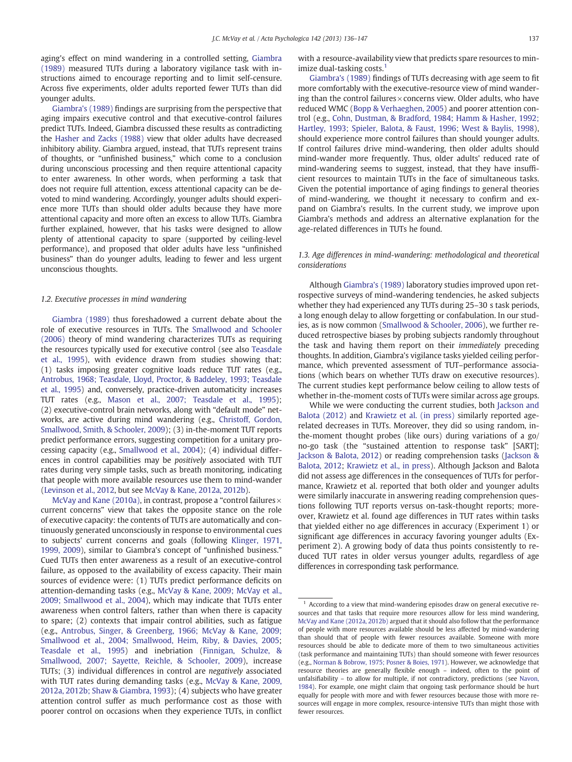aging's effect on mind wandering in a controlled setting, [Giambra](#page--1-0) [\(1989\)](#page--1-0) measured TUTs during a laboratory vigilance task with instructions aimed to encourage reporting and to limit self-censure. Across five experiments, older adults reported fewer TUTs than did younger adults.

[Giambra's \(1989\)](#page--1-0) findings are surprising from the perspective that aging impairs executive control and that executive-control failures predict TUTs. Indeed, Giambra discussed these results as contradicting the [Hasher and Zacks \(1988\)](#page--1-0) view that older adults have decreased inhibitory ability. Giambra argued, instead, that TUTs represent trains of thoughts, or "unfinished business," which come to a conclusion during unconscious processing and then require attentional capacity to enter awareness. In other words, when performing a task that does not require full attention, excess attentional capacity can be devoted to mind wandering. Accordingly, younger adults should experience more TUTs than should older adults because they have more attentional capacity and more often an excess to allow TUTs. Giambra further explained, however, that his tasks were designed to allow plenty of attentional capacity to spare (supported by ceiling-level performance), and proposed that older adults have less "unfinished business" than do younger adults, leading to fewer and less urgent unconscious thoughts.

#### 1.2. Executive processes in mind wandering

[Giambra \(1989\)](#page--1-0) thus foreshadowed a current debate about the role of executive resources in TUTs. The [Smallwood and Schooler](#page--1-0) [\(2006\)](#page--1-0) theory of mind wandering characterizes TUTs as requiring the resources typically used for executive control (see also [Teasdale](#page--1-0) [et al., 1995](#page--1-0)), with evidence drawn from studies showing that: (1) tasks imposing greater cognitive loads reduce TUT rates (e.g., [Antrobus, 1968; Teasdale, Lloyd, Proctor, & Baddeley, 1993; Teasdale](#page--1-0) [et al., 1995](#page--1-0)) and, conversely, practice-driven automaticity increases TUT rates (e.g., [Mason et al., 2007; Teasdale et al., 1995](#page--1-0)); (2) executive-control brain networks, along with "default mode" networks, are active during mind wandering (e.g., [Christoff, Gordon,](#page--1-0) [Smallwood, Smith, & Schooler, 2009\)](#page--1-0); (3) in-the-moment TUT reports predict performance errors, suggesting competition for a unitary processing capacity (e.g., [Smallwood et al., 2004](#page--1-0)); (4) individual differences in control capabilities may be positively associated with TUT rates during very simple tasks, such as breath monitoring, indicating that people with more available resources use them to mind-wander [\(Levinson et al., 2012](#page--1-0), but see [McVay & Kane, 2012a, 2012b](#page--1-0)).

[McVay and Kane \(2010a\),](#page--1-0) in contrast, propose a "control failures $\times$ current concerns" view that takes the opposite stance on the role of executive capacity: the contents of TUTs are automatically and continuously generated unconsciously in response to environmental cues to subjects' current concerns and goals (following [Klinger, 1971,](#page--1-0) [1999, 2009\)](#page--1-0), similar to Giambra's concept of "unfinished business." Cued TUTs then enter awareness as a result of an executive-control failure, as opposed to the availability of excess capacity. Their main sources of evidence were: (1) TUTs predict performance deficits on attention-demanding tasks (e.g., [McVay & Kane, 2009; McVay et al.,](#page--1-0) [2009; Smallwood et al., 2004](#page--1-0)), which may indicate that TUTs enter awareness when control falters, rather than when there is capacity to spare; (2) contexts that impair control abilities, such as fatigue (e.g., [Antrobus, Singer, & Greenberg, 1966; McVay & Kane, 2009;](#page--1-0) [Smallwood et al., 2004; Smallwood, Heim, Riby, & Davies, 2005;](#page--1-0) [Teasdale et al., 1995\)](#page--1-0) and inebriation [\(Finnigan, Schulze, &](#page--1-0) [Smallwood, 2007; Sayette, Reichle, & Schooler, 2009\)](#page--1-0), increase TUTs; (3) individual differences in control are negatively associated with TUT rates during demanding tasks (e.g., [McVay & Kane, 2009,](#page--1-0) [2012a, 2012b; Shaw & Giambra, 1993\)](#page--1-0); (4) subjects who have greater attention control suffer as much performance cost as those with poorer control on occasions when they experience TUTs, in conflict with a resource-availability view that predicts spare resources to minimize dual-tasking costs.<sup>1</sup>

[Giambra's \(1989\)](#page--1-0) findings of TUTs decreasing with age seem to fit more comfortably with the executive-resource view of mind wandering than the control failures $\times$  concerns view. Older adults, who have reduced WMC [\(Bopp & Verhaeghen, 2005](#page--1-0)) and poorer attention control (e.g., [Cohn, Dustman, & Bradford, 1984; Hamm & Hasher, 1992;](#page--1-0) [Hartley, 1993; Spieler, Balota, & Faust, 1996; West & Baylis, 1998](#page--1-0)), should experience more control failures than should younger adults. If control failures drive mind-wandering, then older adults should mind-wander more frequently. Thus, older adults' reduced rate of mind-wandering seems to suggest, instead, that they have insufficient resources to maintain TUTs in the face of simultaneous tasks. Given the potential importance of aging findings to general theories of mind-wandering, we thought it necessary to confirm and expand on Giambra's results. In the current study, we improve upon Giambra's methods and address an alternative explanation for the age-related differences in TUTs he found.

#### 1.3. Age differences in mind-wandering: methodological and theoretical considerations

Although [Giambra's \(1989\)](#page--1-0) laboratory studies improved upon retrospective surveys of mind-wandering tendencies, he asked subjects whether they had experienced any TUTs during 25–30 s task periods, a long enough delay to allow forgetting or confabulation. In our studies, as is now common [\(Smallwood & Schooler, 2006](#page--1-0)), we further reduced retrospective biases by probing subjects randomly throughout the task and having them report on their immediately preceding thoughts. In addition, Giambra's vigilance tasks yielded ceiling performance, which prevented assessment of TUT–performance associations (which bears on whether TUTs draw on executive resources). The current studies kept performance below ceiling to allow tests of whether in-the-moment costs of TUTs were similar across age groups.

While we were conducting the current studies, both [Jackson and](#page--1-0) [Balota \(2012\)](#page--1-0) and [Krawietz et al. \(in press\)](#page--1-0) similarly reported agerelated decreases in TUTs. Moreover, they did so using random, inthe-moment thought probes (like ours) during variations of a go/ no-go task (the "sustained attention to response task" [SART]; [Jackson & Balota, 2012](#page--1-0)) or reading comprehension tasks ([Jackson &](#page--1-0) [Balota, 2012;](#page--1-0) [Krawietz et al., in press](#page--1-0)). Although Jackson and Balota did not assess age differences in the consequences of TUTs for performance, Krawietz et al. reported that both older and younger adults were similarly inaccurate in answering reading comprehension questions following TUT reports versus on-task-thought reports; moreover, Krawietz et al. found age differences in TUT rates within tasks that yielded either no age differences in accuracy (Experiment 1) or significant age differences in accuracy favoring younger adults (Experiment 2). A growing body of data thus points consistently to reduced TUT rates in older versus younger adults, regardless of age differences in corresponding task performance.

 $1$  According to a view that mind-wandering episodes draw on general executive resources and that tasks that require more resources allow for less mind wandering, [McVay and Kane \(2012a, 2012b\)](#page--1-0) argued that it should also follow that the performance of people with more resources available should be less affected by mind-wandering than should that of people with fewer resources available. Someone with more resources should be able to dedicate more of them to two simultaneous activities (task performance and maintaining TUTs) than should someone with fewer resources (e.g., [Norman & Bobrow, 1975; Posner & Boies, 1971](#page--1-0)). However, we acknowledge that resource theories are generally flexible enough – indeed, often to the point of unfalsifiability – to allow for multiple, if not contradictory, predictions (see [Navon,](#page--1-0) [1984](#page--1-0)). For example, one might claim that ongoing task performance should be hurt equally for people with more and with fewer resources because those with more resources will engage in more complex, resource-intensive TUTs than might those with fewer resources.